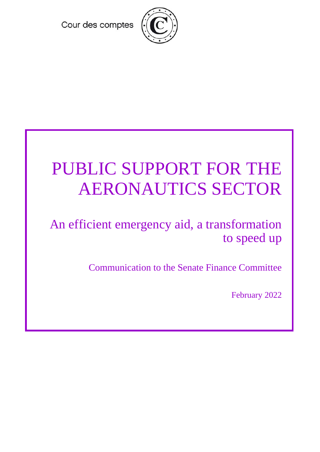Cour des comptes



# PUBLIC SUPPORT FOR THE AERONAUTICS SECTOR

An efficient emergency aid, a transformation to speed up

Communication to the Senate Finance Committee

February 2022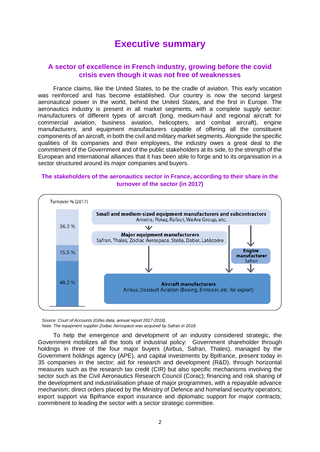## **Executive summary**

#### **A sector of excellence in French industry, growing before the covid crisis even though it was not free of weaknesses**

France claims, like the United States, to be the cradle of aviation. This early vocation was reinforced and has become established. Our country is now the second largest aeronautical power in the world, behind the United States, and the first in Europe. The aeronautics industry is present in all market segments, with a complete supply sector: manufacturers of different types of aircraft (long, medium-haul and regional aircraft for commercial aviation, business aviation, helicopters, and combat aircraft), engine manufacturers, and equipment manufacturers capable of offering all the constituent components of an aircraft, in both the civil and military market segments. Alongside the specific qualities of its companies and their employees, the industry owes a great deal to the commitment of the Government and of the public stakeholders at its side, to the strength of the European and international alliances that it has been able to forge and to its organisation in a sector structured around its major companies and buyers.

#### **The stakeholders of the aeronautics sector in France, according to their share in the turnover of the sector (in 2017)**



*Source: Court of Accounts (Gifas data, annual report 2017-2018). Note: The equipment supplier Zodiac Aerospace was acquired by Safran in 2018.*

To help the emergence and development of an industry considered strategic, the Government mobilizes all the tools of industrial policy: Government shareholder through holdings in three of the four major buyers (Airbus, Safran, Thales), managed by the Government holdings agency (APE), and capital investments by Bpifrance, present today in 35 companies in the sector; aid for research and development (R&D), through horizontal measures such as the research tax credit (CIR) but also specific mechanisms involving the sector such as the Civil Aeronautics Research Council (Corac); financing and risk sharing of the development and industrialisation phase of major programmes, with a repayable advance mechanism; direct orders placed by the Ministry of Defence and homeland security operators; export support via Bpifrance export insurance and diplomatic support for major contracts; commitment to leading the sector with a sector strategic committee.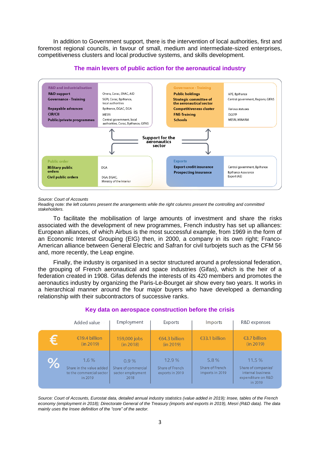In addition to Government support, there is the intervention of local authorities, first and foremost regional councils, in favour of small, medium and intermediate-sized enterprises, competitiveness clusters and local productive systems, and skills development.



#### **The main levers of public action for the aeronautical industry**

*Source: Court of Accounts*

*Reading note: the left columns present the arrangements while the right columns present the controlling and committed stakeholders.*

To facilitate the mobilisation of large amounts of investment and share the risks associated with the development of new programmes, French industry has set up alliances: European alliances, of which Airbus is the most successful example, from 1969 in the form of an Economic Interest Grouping (EIG) then, in 2000, a company in its own right; Franco-American alliance between General Electric and Safran for civil turbojets such as the CFM 56 and, more recently, the Leap engine.

Finally, the industry is organised in a sector structured around a professional federation, the grouping of French aeronautical and space industries (Gifas), which is the heir of a federation created in 1908. Gifas defends the interests of its 420 members and promotes the aeronautics industry by organizing the Paris-Le-Bourget air show every two years. It works in a hierarchical manner around the four major buyers who have developed a demanding relationship with their subcontractors of successive ranks.

|      | Added value                                                             | Employment                                               | <b>Exports</b>                              | <i>Imports</i>                                | R&D expenses                                                                       |
|------|-------------------------------------------------------------------------|----------------------------------------------------------|---------------------------------------------|-----------------------------------------------|------------------------------------------------------------------------------------|
| €    | €19.4 billion<br>(in 2019)                                              | 159,000 jobs<br>(in 2018)                                | €64.3 billion<br>(in 2019)                  | €33.1 billion                                 | $\epsilon$ 3.7 billion<br>(in 2019)                                                |
| $\%$ | 1.6%<br>Share in the value added<br>to the commercial sector<br>in 2019 | 0.9%<br>Share of commercial<br>sector employment<br>2018 | 12.9%<br>Share of French<br>exports in 2019 | $5.8\%$<br>Share of French<br>imports in 2019 | 11.5%<br>Share of companies'<br>internal business<br>expenditure on R&D<br>in 2019 |

#### **Key data on aerospace construction before the crisis**

*Source: Court of Accounts, Eurostat data, detailed annual industry statistics (value added in 2019); Insee, tables of the French economy (employment in 2018); Directorate General of the Treasury (imports and exports in 2019), Mesri (R&D data). The data mainly uses the Insee definition of the "core" of the sector.*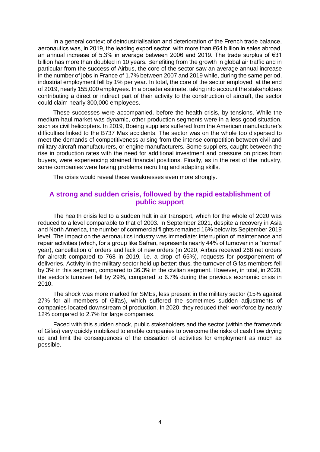In a general context of deindustrialisation and deterioration of the French trade balance, aeronautics was, in 2019, the leading export sector, with more than €64 billion in sales abroad, an annual increase of 5.3% in average between 2006 and 2019. The trade surplus of €31 billion has more than doubled in 10 years. Benefiting from the growth in global air traffic and in particular from the success of Airbus, the core of the sector saw an average annual increase in the number of jobs in France of 1.7% between 2007 and 2019 while, during the same period, industrial employment fell by 1% per year. In total, the core of the sector employed, at the end of 2019, nearly 155,000 employees. In a broader estimate, taking into account the stakeholders contributing a direct or indirect part of their activity to the construction of aircraft, the sector could claim nearly 300,000 employees.

These successes were accompanied, before the health crisis, by tensions. While the medium-haul market was dynamic, other production segments were in a less good situation, such as civil helicopters. In 2019, Boeing suppliers suffered from the American manufacturer's difficulties linked to the B737 Max accidents. The sector was on the whole too dispersed to meet the demands of competitiveness arising from the intense competition between civil and military aircraft manufacturers, or engine manufacturers. Some suppliers, caught between the rise in production rates with the need for additional investment and pressure on prices from buyers, were experiencing strained financial positions. Finally, as in the rest of the industry, some companies were having problems recruiting and adapting skills.

The crisis would reveal these weaknesses even more strongly.

#### **A strong and sudden crisis, followed by the rapid establishment of public support**

The health crisis led to a sudden halt in air transport, which for the whole of 2020 was reduced to a level comparable to that of 2003. In September 2021, despite a recovery in Asia and North America, the number of commercial flights remained 16% below its September 2019 level. The impact on the aeronautics industry was immediate: interruption of maintenance and repair activities (which, for a group like Safran, represents nearly 44% of turnover in a "normal" year), cancellation of orders and lack of new orders (in 2020, Airbus received 268 net orders for aircraft compared to 768 in 2019, i.e. a drop of 65%), requests for postponement of deliveries. Activity in the military sector held up better: thus, the turnover of Gifas members fell by 3% in this segment, compared to 36.3% in the civilian segment. However, in total, in 2020, the sector's turnover fell by 29%, compared to 6.7% during the previous economic crisis in 2010.

The shock was more marked for SMEs, less present in the military sector (15% against 27% for all members of Gifas), which suffered the sometimes sudden adjustments of companies located downstream of production. In 2020, they reduced their workforce by nearly 12% compared to 2.7% for large companies.

Faced with this sudden shock, public stakeholders and the sector (within the framework of Gifas) very quickly mobilized to enable companies to overcome the risks of cash flow drying up and limit the consequences of the cessation of activities for employment as much as possible.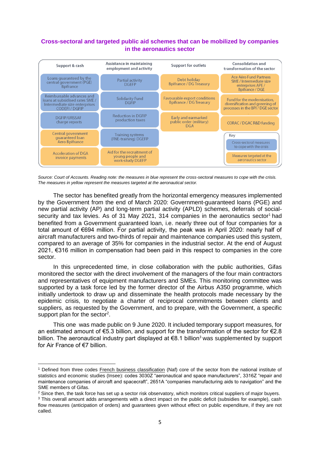#### **Cross-sectoral and targeted public aid schemes that can be mobilized by companies in the aeronautics sector**



*Source: Court of Accounts. Reading note: the measures in blue represent the cross-sectoral measures to cope with the crisis. The measures in yellow represent the measures targeted at the aeronautical sector.*

The sector has benefited greatly from the horizontal emergency measures implemented by the Government from the end of March 2020: Government-guaranteed loans (PGE) and new partial activity (AP) and long-term partial activity (APLD) schemes, deferrals of socialsecurity and tax levies. As of 31 May 2021, 314 companies in the aeronautics sector<sup>1</sup> had benefited from a Government guaranteed loan, i.e. nearly three out of four companies for a total amount of €694 million. For partial activity, the peak was in April 2020: nearly half of aircraft manufacturers and two-thirds of repair and maintenance companies used this system, compared to an average of 35% for companies in the industrial sector. At the end of August 2021, €316 million in compensation had been paid in this respect to companies in the core sector.

In this unprecedented time, in close collaboration with the public authorities, Gifas monitored the sector with the direct involvement of the managers of the four main contractors and representatives of equipment manufacturers and SMEs. This monitoring committee was supported by a task force led by the former director of the Airbus A350 programme, which initially undertook to draw up and disseminate the health protocols made necessary by the epidemic crisis, to negotiate a charter of reciprocal commitments between clients and suppliers, as requested by the Government, and to prepare, with the Government, a specific support plan for the sector<sup>2</sup>.

This one was made public on 9 June 2020. It included temporary support measures, for an estimated amount of  $\epsilon$ 5.3 billion, and support for the transformation of the sector for  $\epsilon$ 2.8 billion. The aeronautical industry part displayed at  $€8.1$  billion<sup>3</sup> was supplemented by support for Air France of €7 billion.

**.** 

<sup>1</sup> Defined from three codes French business classification (Naf) core of the sector from the national institute of statistics and economic studies (Insee): codes 3030Z "aeronautical and space manufacturers", 3316Z "repair and maintenance companies of aircraft and spacecraft", 2651A "companies manufacturing aids to navigation" and the SME members of Gifas.

<sup>&</sup>lt;sup>2</sup> Since then, the task force has set up a sector risk observatory, which monitors critical suppliers of maior buvers.

<sup>&</sup>lt;sup>3</sup> This overall amount adds arrangements with a direct impact on the public deficit (subsidies for example), cash flow measures (anticipation of orders) and guarantees given without effect on public expenditure, if they are not called.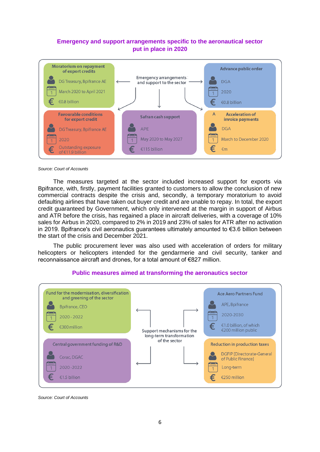#### **Emergency and support arrangements specific to the aeronautical sector put in place in 2020**



#### *Source: Court of Accounts*

The measures targeted at the sector included increased support for exports via Bpifrance, with, firstly, payment facilities granted to customers to allow the conclusion of new commercial contracts despite the crisis and, secondly, a temporary moratorium to avoid defaulting airlines that have taken out buyer credit and are unable to repay. In total, the export credit guaranteed by Government, which only intervened at the margin in support of Airbus and ATR before the crisis, has regained a place in aircraft deliveries, with a coverage of 10% sales for Airbus in 2020, compared to 2% in 2019 and 23% of sales for ATR after no activation in 2019. Bpifrance's civil aeronautics guarantees ultimately amounted to €3.6 billion between the start of the crisis and December 2021.

The public procurement lever was also used with acceleration of orders for military helicopters or helicopters intended for the gendarmerie and civil security, tanker and reconnaissance aircraft and drones, for a total amount of €827 million.



#### **Public measures aimed at transforming the aeronautics sector**

*Source: Court of Accounts*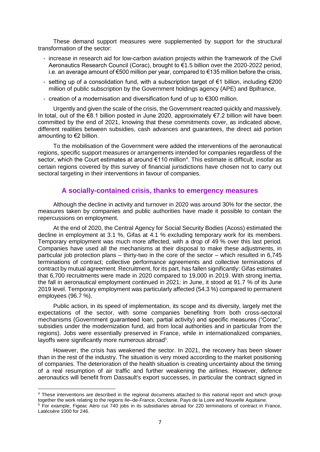These demand support measures were supplemented by support for the structural transformation of the sector:

- increase in research aid for low-carbon aviation projects within the framework of the Civil Aeronautics Research Council (Corac), brought to €1.5 billion over the 2020-2022 period, i.e. an average amount of €500 million per year, compared to €135 million before the crisis,
- setting up of a consolidation fund, with a subscription target of  $\epsilon$ 1 billion, including  $\epsilon$ 200 million of public subscription by the Government holdings agency (APE) and Bpifrance,
- creation of a modernisation and diversification fund of up to €300 million.

Urgently and given the scale of the crisis, the Government reacted quickly and massively. In total, out of the €8.1 billion posted in June 2020, approximately €7.2 billion will have been committed by the end of 2021, knowing that these commitments cover, as indicated above, different realities between subsidies, cash advances and guarantees, the direct aid portion amounting to €2 billion.

To the mobilisation of the Government were added the interventions of the aeronautical regions, specific support measures or arrangements intended for companies regardless of the sector, which the Court estimates at around €110 million<sup>4</sup>. This estimate is difficult, insofar as certain regions covered by this survey of financial jurisdictions have chosen not to carry out sectoral targeting in their interventions in favour of companies.

#### **A socially-contained crisis, thanks to emergency measures**

Although the decline in activity and turnover in 2020 was around 30% for the sector, the measures taken by companies and public authorities have made it possible to contain the repercussions on employment.

At the end of 2020, the Central Agency for Social Security Bodies (Acoss) estimated the decline in employment at 3.1 %, Gifas at 4.1 % excluding temporary work for its members. Temporary employment was much more affected, with a drop of 49 % over this last period. Companies have used all the mechanisms at their disposal to make these adjustments, in particular job protection plans – thirty-two in the core of the sector – which resulted in 6,745 terminations of contract; collective performance agreements and collective terminations of contract by mutual agreement. Recruitment, for its part, has fallen significantly: Gifas estimates that 6,700 recruitments were made in 2020 compared to 19,000 in 2019. With strong inertia, the fall in aeronautical employment continued in 2021: in June, it stood at 91.7 % of its June 2019 level. Temporary employment was particularly affected (54.3 %) compared to permanent employees (96.7 %).

Public action, in its speed of implementation, its scope and its diversity, largely met the expectations of the sector, with some companies benefiting from both cross-sectoral mechanisms (Government guaranteed loan, partial activity) and specific measures ("Corac", subsidies under the modernization fund, aid from local authorities and in particular from the regions). Jobs were essentially preserved in France, while in internationalized companies, layoffs were significantly more numerous abroad<sup>5</sup>.

However, the crisis has weakened the sector. In 2021, the recovery has been slower than in the rest of the industry. The situation is very mixed according to the market positioning of companies. The deterioration of the health situation is creating uncertainty about the timing of a real resumption of air traffic and further weakening the airlines. However, defence aeronautics will benefit from Dassault's export successes, in particular the contract signed in

<sup>1</sup> <sup>4</sup> These interventions are described in the regional documents attached to this national report and which group together the work relating to the regions Ile–de-France, Occitanie, Pays de la Loire and Nouvelle Aquitaine.

<sup>5</sup> For example, Figeac Aéro cut 740 jobs in its subsidiaries abroad for 220 terminations of contract in France, Latécoère 1000 for 246.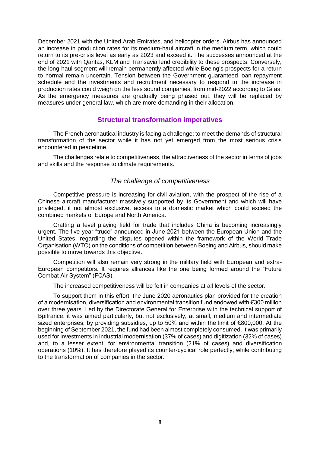December 2021 with the United Arab Emirates, and helicopter orders. Airbus has announced an increase in production rates for its medium-haul aircraft in the medium term, which could return to its pre-crisis level as early as 2023 and exceed it. The successes announced at the end of 2021 with Qantas, KLM and Transavia lend credibility to these prospects. Conversely, the long-haul segment will remain permanently affected while Boeing's prospects for a return to normal remain uncertain. Tension between the Government guaranteed loan repayment schedule and the investments and recruitment necessary to respond to the increase in production rates could weigh on the less sound companies, from mid-2022 according to Gifas. As the emergency measures are gradually being phased out, they will be replaced by measures under general law, which are more demanding in their allocation.

#### **Structural transformation imperatives**

The French aeronautical industry is facing a challenge: to meet the demands of structural transformation of the sector while it has not yet emerged from the most serious crisis encountered in peacetime.

The challenges relate to competitiveness, the attractiveness of the sector in terms of jobs and skills and the response to climate requirements.

#### *The challenge of competitiveness*

Competitive pressure is increasing for civil aviation, with the prospect of the rise of a Chinese aircraft manufacturer massively supported by its Government and which will have privileged, if not almost exclusive, access to a domestic market which could exceed the combined markets of Europe and North America.

Crafting a level playing field for trade that includes China is becoming increasingly urgent. The five-year "truce" announced in June 2021 between the European Union and the United States, regarding the disputes opened within the framework of the World Trade Organisation (WTO) on the conditions of competition between Boeing and Airbus, should make possible to move towards this objective.

Competition will also remain very strong in the military field with European and extra-European competitors. It requires alliances like the one being formed around the "Future Combat Air System" (FCAS).

The increased competitiveness will be felt in companies at all levels of the sector.

To support them in this effort, the June 2020 aeronautics plan provided for the creation of a modernisation, diversification and environmental transition fund endowed with €300 million over three years. Led by the Directorate General for Enterprise with the technical support of Bpifrance, it was aimed particularly, but not exclusively, at small, medium and intermediate sized enterprises, by providing subsidies, up to 50% and within the limit of €800,000. At the beginning of September 2021, the fund had been almost completely consumed. It was primarily used for investments in industrial modernisation (37% of cases) and digitization (32% of cases) and, to a lesser extent, for environmental transition (21% of cases) and diversification operations (10%). It has therefore played its counter-cyclical role perfectly, while contributing to the transformation of companies in the sector.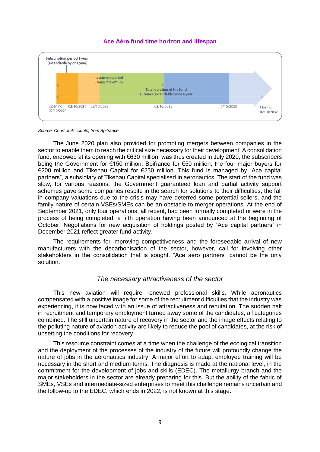#### **Ace Aéro fund time horizon and lifespan**



*Source: Court of Accounts, from Bpifrance.*

The June 2020 plan also provided for promoting mergers between companies in the sector to enable them to reach the critical size necessary for their development. A consolidation fund, endowed at its opening with €630 million, was thus created in July 2020, the subscribers being the Government for €150 million, Bpifrance for €50 million, the four major buyers for €200 million and Tikehau Capital for €230 million. This fund is managed by "Ace capital partners", a subsidiary of Tikehau Capital specialised in aeronautics. The start of the fund was slow, for various reasons: the Government guaranteed loan and partial activity support schemes gave some companies respite in the search for solutions to their difficulties, the fall in company valuations due to the crisis may have deterred some potential sellers, and the family nature of certain VSEs/SMEs can be an obstacle to merger operations. At the end of September 2021, only four operations, all recent, had been formally completed or were in the process of being completed, a fifth operation having been announced at the beginning of October. Negotiations for new acquisition of holdings posted by "Ace capital partners" in December 2021 reflect greater fund activity.

The requirements for improving competitiveness and the foreseeable arrival of new manufacturers with the decarbonisation of the sector, however, call for involving other stakeholders in the consolidation that is sought. "Ace aero partners" cannot be the only solution.

#### *The necessary attractiveness of the sector*

This new aviation will require renewed professional skills. While aeronautics compensated with a positive image for some of the recruitment difficulties that the industry was experiencing, it is now faced with an issue of attractiveness and reputation. The sudden halt in recruitment and temporary employment turned away some of the candidates, all categories combined. The still uncertain nature of recovery in the sector and the image effects relating to the polluting nature of aviation activity are likely to reduce the pool of candidates, at the risk of upsetting the conditions for recovery.

This resource constraint comes at a time when the challenge of the ecological transition and the deployment of the processes of the industry of the future will profoundly change the nature of jobs in the aeronautics industry. A major effort to adapt employee training will be necessary in the short and medium terms. The diagnosis is made at the national level, in the commitment for the development of jobs and skills (EDEC). The metallurgy branch and the major stakeholders in the sector are already preparing for this. But the ability of the fabric of SMEs, VSEs and intermediate-sized enterprises to meet this challenge remains uncertain and the follow-up to the EDEC, which ends in 2022, is not known at this stage.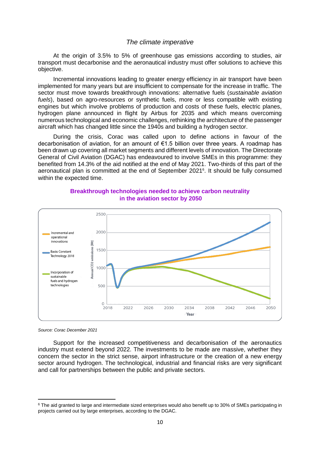#### *The climate imperative*

At the origin of 3.5% to 5% of greenhouse gas emissions according to studies, air transport must decarbonise and the aeronautical industry must offer solutions to achieve this objective.

Incremental innovations leading to greater energy efficiency in air transport have been implemented for many years but are insufficient to compensate for the increase in traffic. The sector must move towards breakthrough innovations: alternative fuels (*sustainable aviation fuels*), based on agro-resources or synthetic fuels, more or less compatible with existing engines but which involve problems of production and costs of these fuels, electric planes, hydrogen plane announced in flight by Airbus for 2035 and which means overcoming numerous technological and economic challenges, rethinking the architecture of the passenger aircraft which has changed little since the 1940s and building a hydrogen sector.

During the crisis, Corac was called upon to define actions in favour of the decarbonisation of aviation, for an amount of €1.5 billion over three years. A roadmap has been drawn up covering all market segments and different levels of innovation. The Directorate General of Civil Aviation (DGAC) has endeavoured to involve SMEs in this programme: they benefited from 14.3% of the aid notified at the end of May 2021. Two-thirds of this part of the aeronautical plan is committed at the end of September 2021<sup>6</sup>. It should be fully consumed within the expected time.



#### **Breakthrough technologies needed to achieve carbon neutrality in the aviation sector by 2050**

*Source: Corac December 2021*

**.** 

Support for the increased competitiveness and decarbonisation of the aeronautics industry must extend beyond 2022. The investments to be made are massive, whether they concern the sector in the strict sense, airport infrastructure or the creation of a new energy sector around hydrogen. The technological, industrial and financial risks are very significant and call for partnerships between the public and private sectors.

<sup>&</sup>lt;sup>6</sup> The aid granted to large and intermediate sized enterprises would also benefit up to 30% of SMEs participating in projects carried out by large enterprises, according to the DGAC.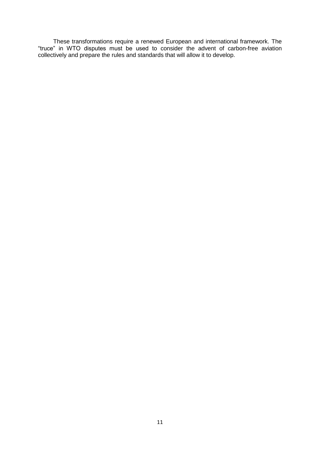These transformations require a renewed European and international framework. The "truce" in WTO disputes must be used to consider the advent of carbon-free aviation collectively and prepare the rules and standards that will allow it to develop.